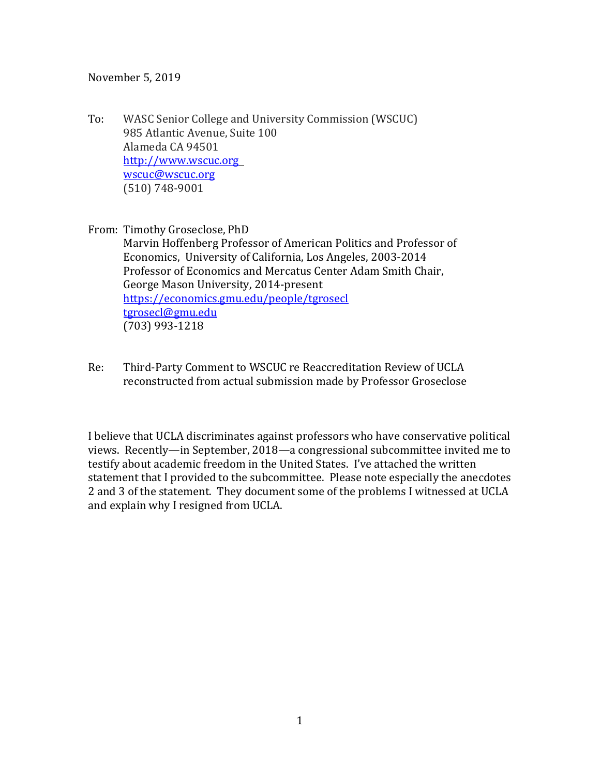November 5, 2019

To: WASC Senior College and University Commission (WSCUC) 985 Atlantic Avenue, Suite 100 Alameda CA 94501 [http://www.wscuc.org](http://www.wscuc.org/) [wscuc@wscuc.org](mailto:wscuc@wscuc.org) (510) 748-9001

From: Timothy Groseclose, PhD Marvin Hoffenberg Professor of American Politics and Professor of Economics, University of California, Los Angeles, 2003-2014 Professor of Economics and Mercatus Center Adam Smith Chair, George Mason University, 2014-present <https://economics.gmu.edu/people/tgrosecl> [tgrosecl@gmu.edu](mailto:tgrosecl@gmu.edu) (703) 993-1218

Re: Third-Party Comment to WSCUC re Reaccreditation Review of UCLA reconstructed from actual submission made by Professor Groseclose

I believe that UCLA discriminates against professors who have conservative political views. Recently—in September, 2018—a congressional subcommittee invited me to testify about academic freedom in the United States. I've attached the written statement that I provided to the subcommittee. Please note especially the anecdotes 2 and 3 of the statement. They document some of the problems I witnessed at UCLA and explain why I resigned from UCLA.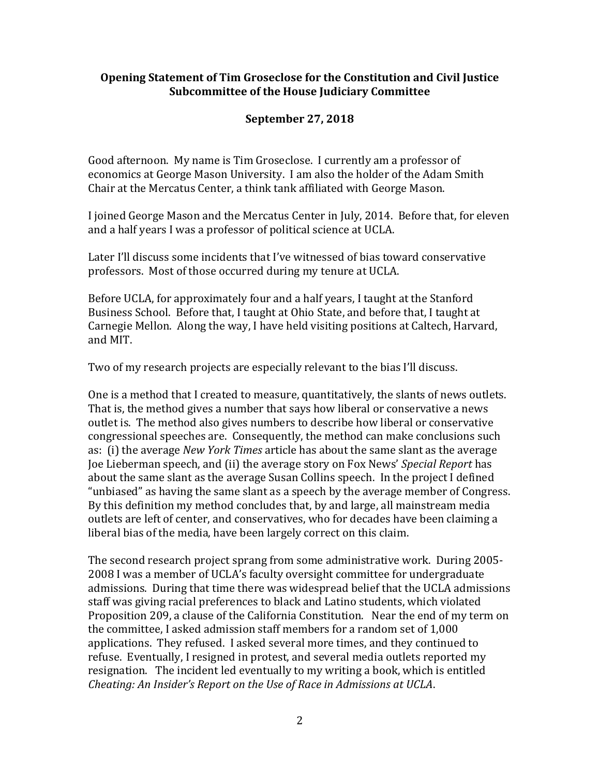#### **Opening Statement of Tim Groseclose for the Constitution and Civil Justice Subcommittee of the House Judiciary Committee**

#### **September 27, 2018**

Good afternoon. My name is Tim Groseclose. I currently am a professor of economics at George Mason University. I am also the holder of the Adam Smith Chair at the Mercatus Center, a think tank affiliated with George Mason.

I joined George Mason and the Mercatus Center in July, 2014. Before that, for eleven and a half years I was a professor of political science at UCLA.

Later I'll discuss some incidents that I've witnessed of bias toward conservative professors. Most of those occurred during my tenure at UCLA.

Before UCLA, for approximately four and a half years, I taught at the Stanford Business School. Before that, I taught at Ohio State, and before that, I taught at Carnegie Mellon. Along the way, I have held visiting positions at Caltech, Harvard, and MIT.

Two of my research projects are especially relevant to the bias I'll discuss.

One is a method that I created to measure, quantitatively, the slants of news outlets. That is, the method gives a number that says how liberal or conservative a news outlet is. The method also gives numbers to describe how liberal or conservative congressional speeches are. Consequently, the method can make conclusions such as: (i) the average *New York Times* article has about the same slant as the average Joe Lieberman speech, and (ii) the average story on Fox News' *Special Report* has about the same slant as the average Susan Collins speech. In the project I defined "unbiased" as having the same slant as a speech by the average member of Congress. By this definition my method concludes that, by and large, all mainstream media outlets are left of center, and conservatives, who for decades have been claiming a liberal bias of the media, have been largely correct on this claim.

The second research project sprang from some administrative work. During 2005- 2008 I was a member of UCLA's faculty oversight committee for undergraduate admissions. During that time there was widespread belief that the UCLA admissions staff was giving racial preferences to black and Latino students, which violated Proposition 209, a clause of the California Constitution. Near the end of my term on the committee, I asked admission staff members for a random set of 1,000 applications. They refused. I asked several more times, and they continued to refuse. Eventually, I resigned in protest, and several media outlets reported my resignation. The incident led eventually to my writing a book, which is entitled *Cheating: An Insider's Report on the Use of Race in Admissions at UCLA*.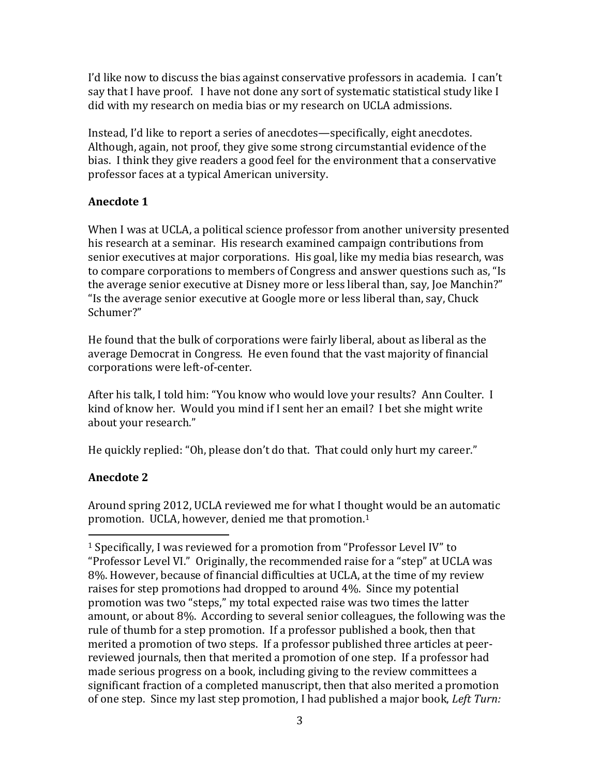I'd like now to discuss the bias against conservative professors in academia. I can't say that I have proof. I have not done any sort of systematic statistical study like I did with my research on media bias or my research on UCLA admissions.

Instead, I'd like to report a series of anecdotes—specifically, eight anecdotes. Although, again, not proof, they give some strong circumstantial evidence of the bias. I think they give readers a good feel for the environment that a conservative professor faces at a typical American university.

## **Anecdote 1**

When I was at UCLA, a political science professor from another university presented his research at a seminar. His research examined campaign contributions from senior executives at major corporations. His goal, like my media bias research, was to compare corporations to members of Congress and answer questions such as, "Is the average senior executive at Disney more or less liberal than, say, Joe Manchin?" "Is the average senior executive at Google more or less liberal than, say, Chuck Schumer?"

He found that the bulk of corporations were fairly liberal, about as liberal as the average Democrat in Congress. He even found that the vast majority of financial corporations were left-of-center.

After his talk, I told him: "You know who would love your results? Ann Coulter. I kind of know her. Would you mind if I sent her an email? I bet she might write about your research."

He quickly replied: "Oh, please don't do that. That could only hurt my career."

# **Anecdote 2**

Around spring 2012, UCLA reviewed me for what I thought would be an automatic promotion. UCLA, however, denied me that promotion.<sup>1</sup>

<sup>1</sup> Specifically, I was reviewed for a promotion from "Professor Level IV" to "Professor Level VI." Originally, the recommended raise for a "step" at UCLA was 8%. However, because of financial difficulties at UCLA, at the time of my review raises for step promotions had dropped to around 4%. Since my potential promotion was two "steps," my total expected raise was two times the latter amount, or about 8%. According to several senior colleagues, the following was the rule of thumb for a step promotion. If a professor published a book, then that merited a promotion of two steps. If a professor published three articles at peerreviewed journals, then that merited a promotion of one step. If a professor had made serious progress on a book, including giving to the review committees a significant fraction of a completed manuscript, then that also merited a promotion of one step. Since my last step promotion, I had published a major book, *Left Turn:*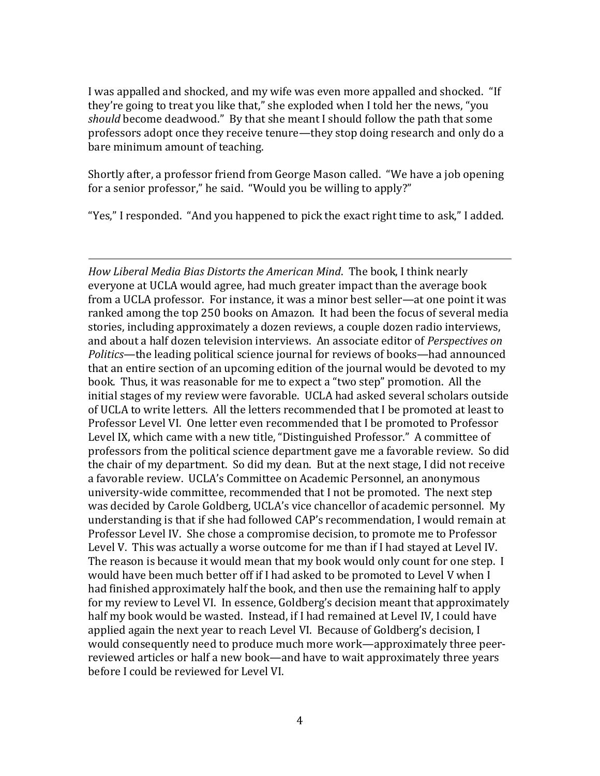I was appalled and shocked, and my wife was even more appalled and shocked. "If they're going to treat you like that," she exploded when I told her the news, "you *should* become deadwood." By that she meant I should follow the path that some professors adopt once they receive tenure—they stop doing research and only do a bare minimum amount of teaching.

Shortly after, a professor friend from George Mason called. "We have a job opening for a senior professor," he said. "Would you be willing to apply?"

"Yes," I responded. "And you happened to pick the exact right time to ask," I added.

*How Liberal Media Bias Distorts the American Mind*. The book, I think nearly everyone at UCLA would agree, had much greater impact than the average book from a UCLA professor. For instance, it was a minor best seller—at one point it was ranked among the top 250 books on Amazon. It had been the focus of several media stories, including approximately a dozen reviews, a couple dozen radio interviews, and about a half dozen television interviews. An associate editor of *Perspectives on Politics*—the leading political science journal for reviews of books—had announced that an entire section of an upcoming edition of the journal would be devoted to my book. Thus, it was reasonable for me to expect a "two step" promotion. All the initial stages of my review were favorable. UCLA had asked several scholars outside of UCLA to write letters. All the letters recommended that I be promoted at least to Professor Level VI. One letter even recommended that I be promoted to Professor Level IX, which came with a new title, "Distinguished Professor." A committee of professors from the political science department gave me a favorable review. So did the chair of my department. So did my dean. But at the next stage, I did not receive a favorable review. UCLA's Committee on Academic Personnel, an anonymous university-wide committee, recommended that I not be promoted. The next step was decided by Carole Goldberg, UCLA's vice chancellor of academic personnel. My understanding is that if she had followed CAP's recommendation, I would remain at Professor Level IV. She chose a compromise decision, to promote me to Professor Level V. This was actually a worse outcome for me than if I had stayed at Level IV. The reason is because it would mean that my book would only count for one step. I would have been much better off if I had asked to be promoted to Level V when I had finished approximately half the book, and then use the remaining half to apply for my review to Level VI. In essence, Goldberg's decision meant that approximately half my book would be wasted. Instead, if I had remained at Level IV, I could have applied again the next year to reach Level VI. Because of Goldberg's decision, I would consequently need to produce much more work—approximately three peerreviewed articles or half a new book—and have to wait approximately three years before I could be reviewed for Level VI.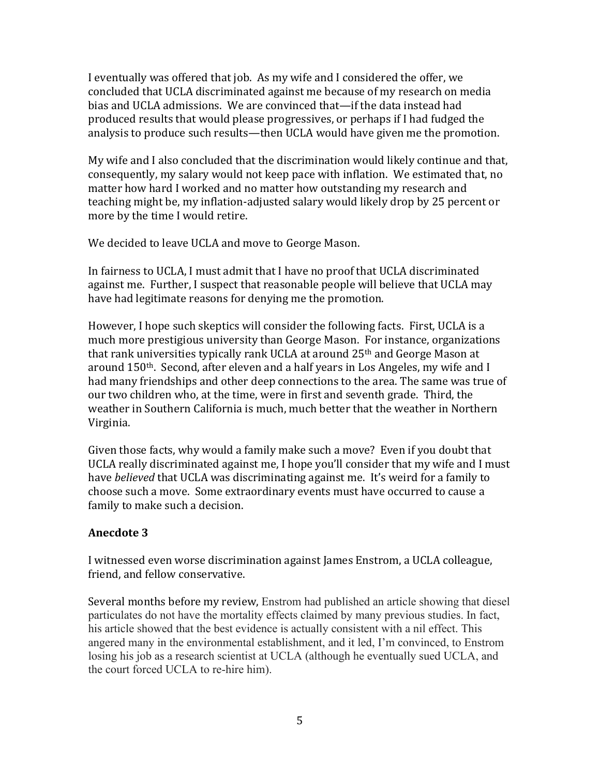I eventually was offered that job. As my wife and I considered the offer, we concluded that UCLA discriminated against me because of my research on media bias and UCLA admissions. We are convinced that—if the data instead had produced results that would please progressives, or perhaps if I had fudged the analysis to produce such results—then UCLA would have given me the promotion.

My wife and I also concluded that the discrimination would likely continue and that, consequently, my salary would not keep pace with inflation. We estimated that, no matter how hard I worked and no matter how outstanding my research and teaching might be, my inflation-adjusted salary would likely drop by 25 percent or more by the time I would retire.

We decided to leave UCLA and move to George Mason.

In fairness to UCLA, I must admit that I have no proof that UCLA discriminated against me. Further, I suspect that reasonable people will believe that UCLA may have had legitimate reasons for denying me the promotion.

However, I hope such skeptics will consider the following facts. First, UCLA is a much more prestigious university than George Mason. For instance, organizations that rank universities typically rank UCLA at around 25<sup>th</sup> and George Mason at around 150th. Second, after eleven and a half years in Los Angeles, my wife and I had many friendships and other deep connections to the area. The same was true of our two children who, at the time, were in first and seventh grade. Third, the weather in Southern California is much, much better that the weather in Northern Virginia.

Given those facts, why would a family make such a move? Even if you doubt that UCLA really discriminated against me, I hope you'll consider that my wife and I must have *believed* that UCLA was discriminating against me. It's weird for a family to choose such a move. Some extraordinary events must have occurred to cause a family to make such a decision.

#### **Anecdote 3**

I witnessed even worse discrimination against James Enstrom, a UCLA colleague, friend, and fellow conservative.

Several months before my review, Enstrom had published an article showing that diesel particulates do not have the mortality effects claimed by many previous studies. In fact, his article showed that the best evidence is actually consistent with a nil effect. This angered many in the environmental establishment, and it led, I'm convinced, to Enstrom losing his job as a research scientist at UCLA (although he eventually sued UCLA, and the court forced UCLA to re-hire him).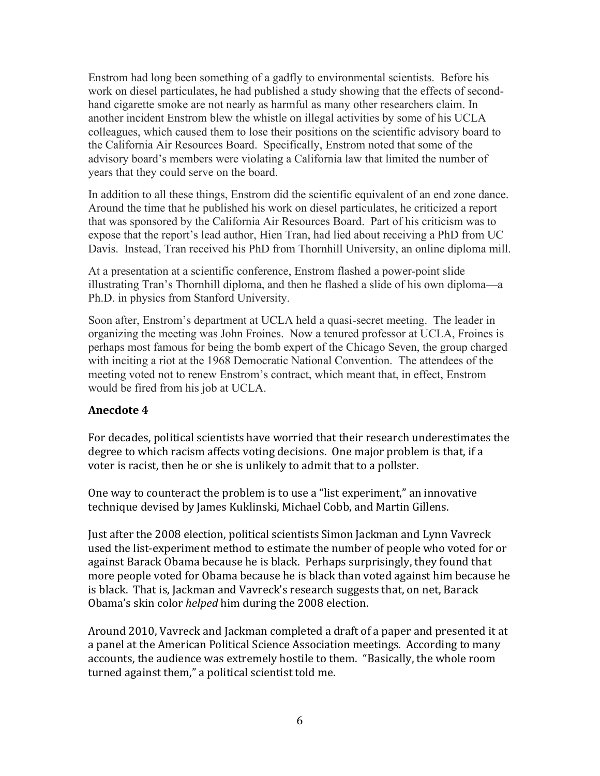Enstrom had long been something of a gadfly to environmental scientists. Before his work on diesel particulates, he had published a study showing that the effects of secondhand cigarette smoke are not nearly as harmful as many other researchers claim. In another incident Enstrom blew the whistle on illegal activities by some of his UCLA colleagues, which caused them to lose their positions on the scientific advisory board to the California Air Resources Board. Specifically, Enstrom noted that some of the advisory board's members were violating a California law that limited the number of years that they could serve on the board.

In addition to all these things, Enstrom did the scientific equivalent of an end zone dance. Around the time that he published his work on diesel particulates, he criticized a report that was sponsored by the California Air Resources Board. Part of his criticism was to expose that the report's lead author, Hien Tran, had lied about receiving a PhD from UC Davis. Instead, Tran received his PhD from Thornhill University, an online diploma mill.

At a presentation at a scientific conference, Enstrom flashed a power-point slide illustrating Tran's Thornhill diploma, and then he flashed a slide of his own diploma—a Ph.D. in physics from Stanford University.

Soon after, Enstrom's department at UCLA held a quasi-secret meeting. The leader in organizing the meeting was John Froines. Now a tenured professor at UCLA, Froines is perhaps most famous for being the bomb expert of the Chicago Seven, the group charged with inciting a riot at the 1968 Democratic National Convention. The attendees of the meeting voted not to renew Enstrom's contract, which meant that, in effect, Enstrom would be fired from his job at UCLA.

#### **Anecdote 4**

For decades, political scientists have worried that their research underestimates the degree to which racism affects voting decisions. One major problem is that, if a voter is racist, then he or she is unlikely to admit that to a pollster.

One way to counteract the problem is to use a "list experiment," an innovative technique devised by James Kuklinski, Michael Cobb, and Martin Gillens.

Just after the 2008 election, political scientists Simon Jackman and Lynn Vavreck used the list-experiment method to estimate the number of people who voted for or against Barack Obama because he is black. Perhaps surprisingly, they found that more people voted for Obama because he is black than voted against him because he is black. That is, Jackman and Vavreck's research suggests that, on net, Barack Obama's skin color *helped* him during the 2008 election.

Around 2010, Vavreck and Jackman completed a draft of a paper and presented it at a panel at the American Political Science Association meetings. According to many accounts, the audience was extremely hostile to them. "Basically, the whole room turned against them," a political scientist told me.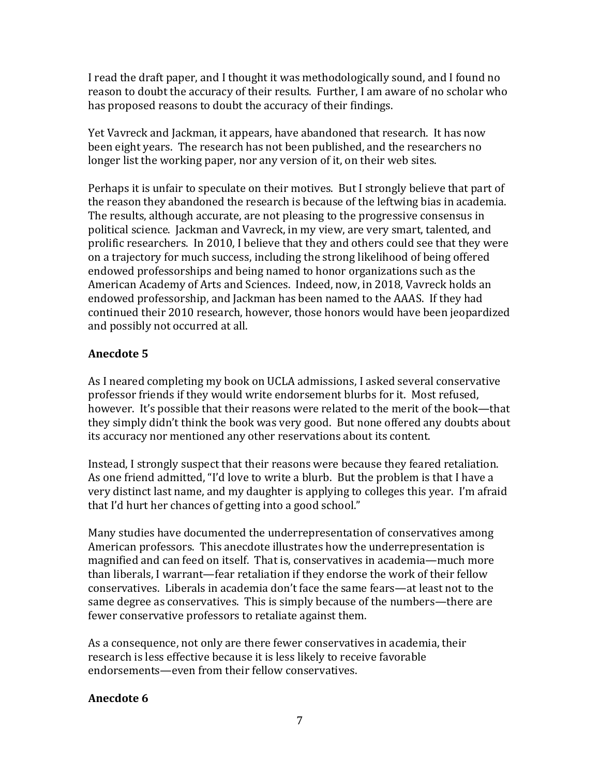I read the draft paper, and I thought it was methodologically sound, and I found no reason to doubt the accuracy of their results. Further, I am aware of no scholar who has proposed reasons to doubt the accuracy of their findings.

Yet Vavreck and Jackman, it appears, have abandoned that research. It has now been eight years. The research has not been published, and the researchers no longer list the working paper, nor any version of it, on their web sites.

Perhaps it is unfair to speculate on their motives. But I strongly believe that part of the reason they abandoned the research is because of the leftwing bias in academia. The results, although accurate, are not pleasing to the progressive consensus in political science. Jackman and Vavreck, in my view, are very smart, talented, and prolific researchers. In 2010, I believe that they and others could see that they were on a trajectory for much success, including the strong likelihood of being offered endowed professorships and being named to honor organizations such as the American Academy of Arts and Sciences. Indeed, now, in 2018, Vavreck holds an endowed professorship, and Jackman has been named to the AAAS. If they had continued their 2010 research, however, those honors would have been jeopardized and possibly not occurred at all.

## **Anecdote 5**

As I neared completing my book on UCLA admissions, I asked several conservative professor friends if they would write endorsement blurbs for it. Most refused, however. It's possible that their reasons were related to the merit of the book—that they simply didn't think the book was very good. But none offered any doubts about its accuracy nor mentioned any other reservations about its content.

Instead, I strongly suspect that their reasons were because they feared retaliation. As one friend admitted, "I'd love to write a blurb. But the problem is that I have a very distinct last name, and my daughter is applying to colleges this year. I'm afraid that I'd hurt her chances of getting into a good school."

Many studies have documented the underrepresentation of conservatives among American professors. This anecdote illustrates how the underrepresentation is magnified and can feed on itself. That is, conservatives in academia—much more than liberals, I warrant—fear retaliation if they endorse the work of their fellow conservatives. Liberals in academia don't face the same fears—at least not to the same degree as conservatives. This is simply because of the numbers—there are fewer conservative professors to retaliate against them.

As a consequence, not only are there fewer conservatives in academia, their research is less effective because it is less likely to receive favorable endorsements—even from their fellow conservatives.

## **Anecdote 6**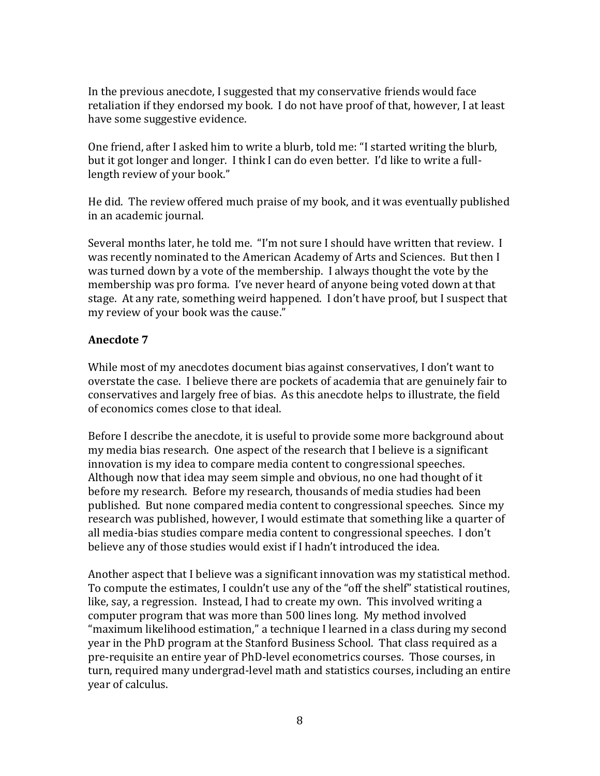In the previous anecdote, I suggested that my conservative friends would face retaliation if they endorsed my book. I do not have proof of that, however, I at least have some suggestive evidence.

One friend, after I asked him to write a blurb, told me: "I started writing the blurb, but it got longer and longer. I think I can do even better. I'd like to write a fulllength review of your book."

He did. The review offered much praise of my book, and it was eventually published in an academic journal.

Several months later, he told me. "I'm not sure I should have written that review. I was recently nominated to the American Academy of Arts and Sciences. But then I was turned down by a vote of the membership. I always thought the vote by the membership was pro forma. I've never heard of anyone being voted down at that stage. At any rate, something weird happened. I don't have proof, but I suspect that my review of your book was the cause."

#### **Anecdote 7**

While most of my anecdotes document bias against conservatives, I don't want to overstate the case. I believe there are pockets of academia that are genuinely fair to conservatives and largely free of bias. As this anecdote helps to illustrate, the field of economics comes close to that ideal.

Before I describe the anecdote, it is useful to provide some more background about my media bias research. One aspect of the research that I believe is a significant innovation is my idea to compare media content to congressional speeches. Although now that idea may seem simple and obvious, no one had thought of it before my research. Before my research, thousands of media studies had been published. But none compared media content to congressional speeches. Since my research was published, however, I would estimate that something like a quarter of all media-bias studies compare media content to congressional speeches. I don't believe any of those studies would exist if I hadn't introduced the idea.

Another aspect that I believe was a significant innovation was my statistical method. To compute the estimates, I couldn't use any of the "off the shelf" statistical routines, like, say, a regression. Instead, I had to create my own. This involved writing a computer program that was more than 500 lines long. My method involved "maximum likelihood estimation," a technique I learned in a class during my second year in the PhD program at the Stanford Business School. That class required as a pre-requisite an entire year of PhD-level econometrics courses. Those courses, in turn, required many undergrad-level math and statistics courses, including an entire year of calculus.